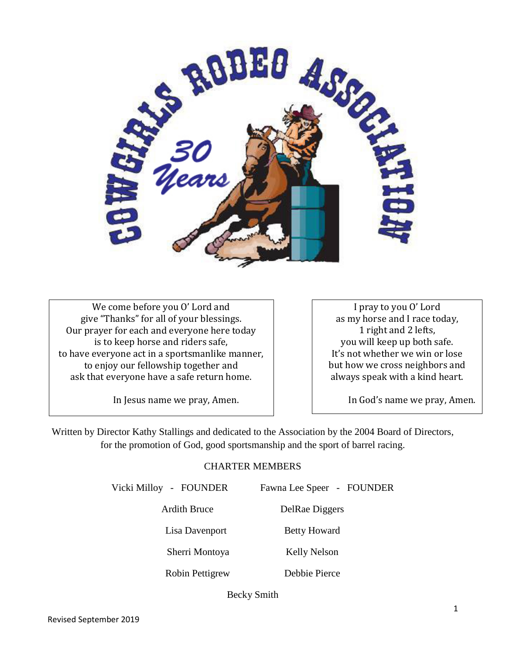

We come before you O' Lord and give "Thanks" for all of your blessings. Our prayer for each and everyone here today is to keep horse and riders safe, to have everyone act in a sportsmanlike manner, to enjoy our fellowship together and ask that everyone have a safe return home.

I pray to you O' Lord as my horse and I race today, 1 right and 2 lefts, you will keep up both safe. It's not whether we win or lose but how we cross neighbors and always speak with a kind heart.

In Jesus name we pray, Amen.

In God's name we pray, Amen.

Written by Director Kathy Stallings and dedicated to the Association by the 2004 Board of Directors, for the promotion of God, good sportsmanship and the sport of barrel racing.

### CHARTER MEMBERS

Vicki Milloy - FOUNDER Fawna Lee Speer - FOUNDER

Ardith Bruce DelRae Diggers

Lisa Davenport Betty Howard

Sherri Montoya Kelly Nelson

Robin Pettigrew Debbie Pierce

Becky Smith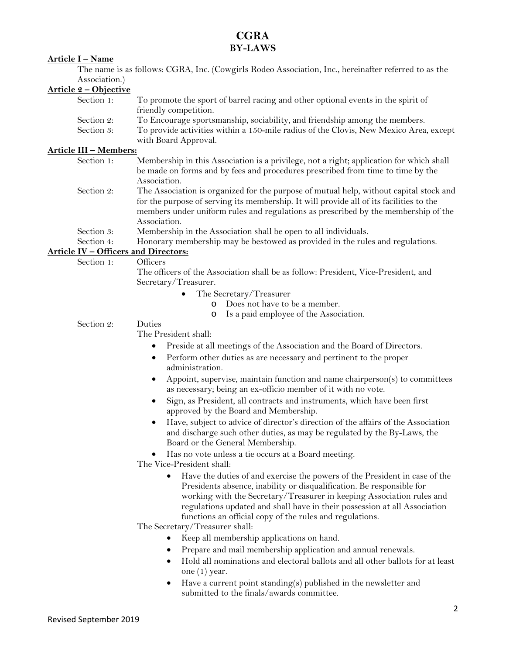### **CGRA BY-LAWS**

### **Article I – Name**

The name is as follows: CGRA, Inc. (Cowgirls Rodeo Association, Inc., hereinafter referred to as the Association.)

### **Article 2 – Objective**

| Section 1: | To promote the sport of barrel racing and other optional events in the spirit of      |
|------------|---------------------------------------------------------------------------------------|
|            | friendly competition.                                                                 |
| Section 2: | To Encourage sportsmanship, sociability, and friendship among the members.            |
| Section 3: | To provide activities within a 150-mile radius of the Clovis, New Mexico Area, except |
|            | with Board Approval.                                                                  |

### **Article III – Members:**

- Section 1: Membership in this Association is a privilege, not a right; application for which shall be made on forms and by fees and procedures prescribed from time to time by the Association.
- Section 2: The Association is organized for the purpose of mutual help, without capital stock and for the purpose of serving its membership. It will provide all of its facilities to the members under uniform rules and regulations as prescribed by the membership of the Association.
- 

Section 3: Membership in the Association shall be open to all individuals.<br>Section 4: Honorary membership may be bestowed as provided in the rule Honorary membership may be bestowed as provided in the rules and regulations.

### **Article IV – Officers and Directors:**

Section 1: Officers

The officers of the Association shall be as follow: President, Vice-President, and Secretary/Treasurer.

- The Secretary/Treasurer
	- o Does not have to be a member.
	- o Is a paid employee of the Association.

### Section 2: Duties

The President shall:

- Preside at all meetings of the Association and the Board of Directors.
- Perform other duties as are necessary and pertinent to the proper administration.
- Appoint, supervise, maintain function and name chairperson(s) to committees as necessary; being an ex-officio member of it with no vote.
- Sign, as President, all contracts and instruments, which have been first approved by the Board and Membership.
- Have, subject to advice of director's direction of the affairs of the Association and discharge such other duties, as may be regulated by the By-Laws, the Board or the General Membership.
- Has no vote unless a tie occurs at a Board meeting.

The Vice-President shall:

• Have the duties of and exercise the powers of the President in case of the Presidents absence, inability or disqualification. Be responsible for working with the Secretary/Treasurer in keeping Association rules and regulations updated and shall have in their possession at all Association functions an official copy of the rules and regulations.

The Secretary/Treasurer shall:

- Keep all membership applications on hand.
- Prepare and mail membership application and annual renewals.
- Hold all nominations and electoral ballots and all other ballots for at least one (1) year.
- Have a current point standing(s) published in the newsletter and submitted to the finals/awards committee.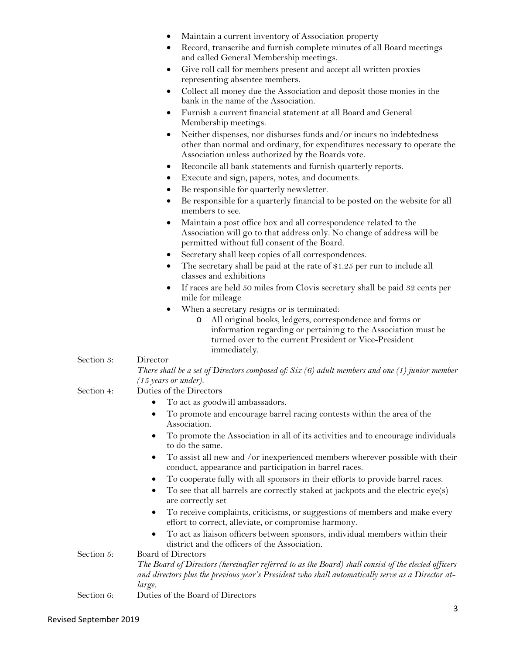- Maintain a current inventory of Association property
- Record, transcribe and furnish complete minutes of all Board meetings and called General Membership meetings.
- Give roll call for members present and accept all written proxies representing absentee members.
- Collect all money due the Association and deposit those monies in the bank in the name of the Association.
- Furnish a current financial statement at all Board and General Membership meetings.
- Neither dispenses, nor disburses funds and/or incurs no indebtedness other than normal and ordinary, for expenditures necessary to operate the Association unless authorized by the Boards vote.
- Reconcile all bank statements and furnish quarterly reports.
- Execute and sign, papers, notes, and documents.
- Be responsible for quarterly newsletter.
- Be responsible for a quarterly financial to be posted on the website for all members to see.
- Maintain a post office box and all correspondence related to the Association will go to that address only. No change of address will be permitted without full consent of the Board.
- Secretary shall keep copies of all correspondences.
- The secretary shall be paid at the rate of \$1.25 per run to include all classes and exhibitions
- If races are held 50 miles from Clovis secretary shall be paid 32 cents per mile for mileage
- When a secretary resigns or is terminated:
	- o All original books, ledgers, correspondence and forms or information regarding or pertaining to the Association must be turned over to the current President or Vice-President immediately.

### Section 3: Director

*There shall be a set of Directors composed of: Six (6) adult members and one (1) junior member (15 years or under).*

### Section 4: Duties of the Directors

- To act as goodwill ambassadors.
- To promote and encourage barrel racing contests within the area of the Association.
- To promote the Association in all of its activities and to encourage individuals to do the same.
- To assist all new and /or inexperienced members wherever possible with their conduct, appearance and participation in barrel races.
- To cooperate fully with all sponsors in their efforts to provide barrel races.
- To see that all barrels are correctly staked at jackpots and the electric  $eye(s)$ are correctly set
- To receive complaints, criticisms, or suggestions of members and make every effort to correct, alleviate, or compromise harmony.
- To act as liaison officers between sponsors, individual members within their district and the officers of the Association.

## Section 5: Board of Directors

*The Board of Directors (hereinafter referred to as the Board) shall consist of the elected officers and directors plus the previous year's President who shall automatically serve as a Director atlarge.*

Section 6: Duties of the Board of Directors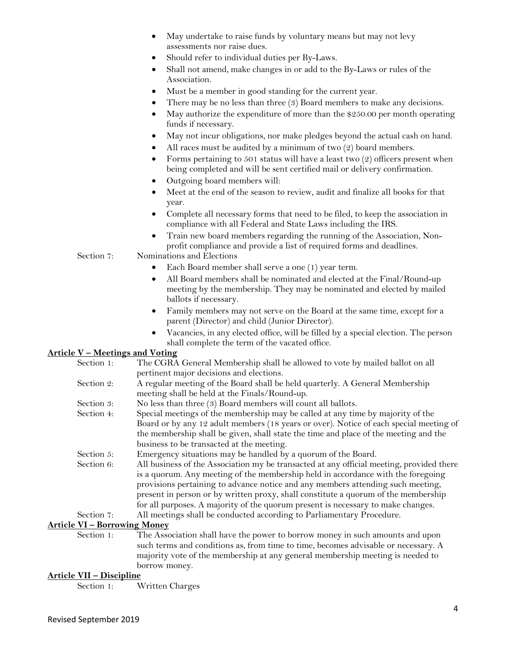- May undertake to raise funds by voluntary means but may not levy assessments nor raise dues.
- Should refer to individual duties per By-Laws.
- Shall not amend, make changes in or add to the By-Laws or rules of the Association.
- Must be a member in good standing for the current year.
- There may be no less than three (3) Board members to make any decisions.
- May authorize the expenditure of more than the \$250.00 per month operating funds if necessary.
- May not incur obligations, nor make pledges beyond the actual cash on hand.
- All races must be audited by a minimum of two  $(2)$  board members.
- Forms pertaining to 501 status will have a least two  $(2)$  officers present when being completed and will be sent certified mail or delivery confirmation.
- Outgoing board members will:
- Meet at the end of the season to review, audit and finalize all books for that year.
- Complete all necessary forms that need to be filed, to keep the association in compliance with all Federal and State Laws including the IRS.
- Train new board members regarding the running of the Association, Nonprofit compliance and provide a list of required forms and deadlines.
- Section 7: Nominations and Elections
	- Each Board member shall serve a one (1) year term.
	- All Board members shall be nominated and elected at the Final/Round-up meeting by the membership. They may be nominated and elected by mailed ballots if necessary.
	- Family members may not serve on the Board at the same time, except for a parent (Director) and child (Junior Director).
	- Vacancies, in any elected office, will be filled by a special election. The person shall complete the term of the vacated office.

### **Article V – Meetings and Voting**

| Section 1: | The CGRA General Membership shall be allowed to vote by mailed ballot on all             |
|------------|------------------------------------------------------------------------------------------|
|            | pertinent major decisions and elections.                                                 |
| Section 2: | A regular meeting of the Board shall be held quarterly. A General Membership             |
|            | meeting shall be held at the Finals/Round-up.                                            |
| Section 3: | No less than three $(3)$ Board members will count all ballots.                           |
| Section 4: | Special meetings of the membership may be called at any time by majority of the          |
|            | Board or by any 12 adult members (18 years or over). Notice of each special meeting of   |
|            | the membership shall be given, shall state the time and place of the meeting and the     |
|            | business to be transacted at the meeting.                                                |
| Section 5: | Emergency situations may be handled by a quorum of the Board.                            |
| Section 6: | All business of the Association my be transacted at any official meeting, provided there |
|            | is a quorum. Any meeting of the membership held in accordance with the foregoing         |
|            | provisions pertaining to advance notice and any members attending such meeting,          |
|            | present in person or by written proxy, shall constitute a quorum of the membership       |
|            | for all purposes. A majority of the quorum present is necessary to make changes.         |
| Section 7: | All meetings shall be conducted according to Parliamentary Procedure.                    |

### **Article VI – Borrowing Money**

Section 1: The Association shall have the power to borrow money in such amounts and upon such terms and conditions as, from time to time, becomes advisable or necessary. A majority vote of the membership at any general membership meeting is needed to borrow money.

### **Article VII – Discipline**

Section 1: Written Charges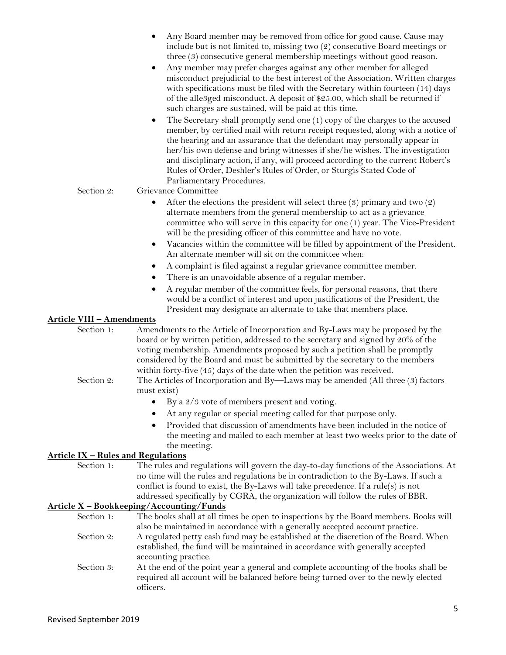|                                  | Any Board member may be removed from office for good cause. Cause may<br>include but is not limited to, missing two (2) consecutive Board meetings or<br>three (3) consecutive general membership meetings without good reason.<br>Any member may prefer charges against any other member for alleged<br>٠<br>misconduct prejudicial to the best interest of the Association. Written charges<br>with specifications must be filed with the Secretary within fourteen (14) days<br>of the alle3ged misconduct. A deposit of \$25.00, which shall be returned if<br>such charges are sustained, will be paid at this time.<br>The Secretary shall promptly send one (1) copy of the charges to the accused<br>$\bullet$<br>member, by certified mail with return receipt requested, along with a notice of<br>the hearing and an assurance that the defendant may personally appear in<br>her/his own defense and bring witnesses if she/he wishes. The investigation<br>and disciplinary action, if any, will proceed according to the current Robert's<br>Rules of Order, Deshler's Rules of Order, or Sturgis Stated Code of<br>Parliamentary Procedures. |
|----------------------------------|-------------------------------------------------------------------------------------------------------------------------------------------------------------------------------------------------------------------------------------------------------------------------------------------------------------------------------------------------------------------------------------------------------------------------------------------------------------------------------------------------------------------------------------------------------------------------------------------------------------------------------------------------------------------------------------------------------------------------------------------------------------------------------------------------------------------------------------------------------------------------------------------------------------------------------------------------------------------------------------------------------------------------------------------------------------------------------------------------------------------------------------------------------------|
| Section 2:                       | Grievance Committee                                                                                                                                                                                                                                                                                                                                                                                                                                                                                                                                                                                                                                                                                                                                                                                                                                                                                                                                                                                                                                                                                                                                         |
|                                  | After the elections the president will select three $(3)$ primary and two $(2)$<br>$\bullet$<br>alternate members from the general membership to act as a grievance<br>committee who will serve in this capacity for one (1) year. The Vice-President<br>will be the presiding officer of this committee and have no vote.<br>Vacancies within the committee will be filled by appointment of the President.<br>$\bullet$<br>An alternate member will sit on the committee when:<br>A complaint is filed against a regular grievance committee member.<br>$\bullet$<br>There is an unavoidable absence of a regular member.<br>$\bullet$<br>A regular member of the committee feels, for personal reasons, that there<br>٠<br>would be a conflict of interest and upon justifications of the President, the                                                                                                                                                                                                                                                                                                                                                 |
|                                  | President may designate an alternate to take that members place.                                                                                                                                                                                                                                                                                                                                                                                                                                                                                                                                                                                                                                                                                                                                                                                                                                                                                                                                                                                                                                                                                            |
| <b>Article VIII - Amendments</b> |                                                                                                                                                                                                                                                                                                                                                                                                                                                                                                                                                                                                                                                                                                                                                                                                                                                                                                                                                                                                                                                                                                                                                             |
| Section 1:                       | Amendments to the Article of Incorporation and By-Laws may be proposed by the<br>board or by written petition, addressed to the secretary and signed by 20% of the<br>voting membership. Amendments proposed by such a petition shall be promptly<br>considered by the Board and must be submitted by the secretary to the members<br>within forty-five $(45)$ days of the date when the petition was received.                                                                                                                                                                                                                                                                                                                                                                                                                                                                                                                                                                                                                                                                                                                                             |
| Section 2:                       | The Articles of Incorporation and By-Laws may be amended (All three (3) factors                                                                                                                                                                                                                                                                                                                                                                                                                                                                                                                                                                                                                                                                                                                                                                                                                                                                                                                                                                                                                                                                             |
|                                  | must exist)                                                                                                                                                                                                                                                                                                                                                                                                                                                                                                                                                                                                                                                                                                                                                                                                                                                                                                                                                                                                                                                                                                                                                 |
|                                  | By a 2/3 vote of members present and voting.<br>$\bullet$                                                                                                                                                                                                                                                                                                                                                                                                                                                                                                                                                                                                                                                                                                                                                                                                                                                                                                                                                                                                                                                                                                   |
|                                  |                                                                                                                                                                                                                                                                                                                                                                                                                                                                                                                                                                                                                                                                                                                                                                                                                                                                                                                                                                                                                                                                                                                                                             |
|                                  | At any regular or special meeting called for that purpose only.                                                                                                                                                                                                                                                                                                                                                                                                                                                                                                                                                                                                                                                                                                                                                                                                                                                                                                                                                                                                                                                                                             |

• Provided that discussion of amendments have been included in the notice of the meeting and mailed to each member at least two weeks prior to the date of the meeting.

### **Article IX – Rules and Regulations**

Section 1: The rules and regulations will govern the day-to-day functions of the Associations. At no time will the rules and regulations be in contradiction to the By-Laws. If such a conflict is found to exist, the By-Laws will take precedence. If a rule(s) is not addressed specifically by CGRA, the organization will follow the rules of BBR.

### **Article X – Bookkeeping/Accounting/Funds**

- Section 1: The books shall at all times be open to inspections by the Board members. Books will also be maintained in accordance with a generally accepted account practice. Section 2: A regulated petty cash fund may be established at the discretion of the Board. When established, the fund will be maintained in accordance with generally accepted accounting practice.
- Section 3: At the end of the point year a general and complete accounting of the books shall be required all account will be balanced before being turned over to the newly elected officers.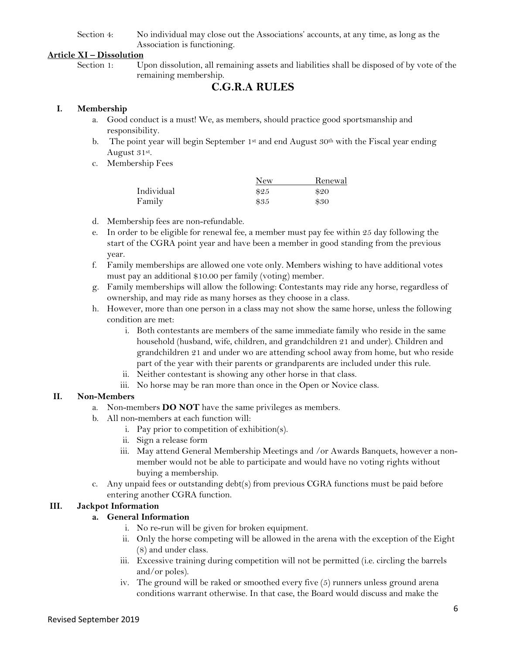### Section 4: No individual may close out the Associations' accounts, at any time, as long as the Association is functioning.

### **Article XI – Dissolution**

Section 1: Upon dissolution, all remaining assets and liabilities shall be disposed of by vote of the remaining membership.

### **C.G.R.A RULES**

### **I. Membership**

- a. Good conduct is a must! We, as members, should practice good sportsmanship and responsibility.
- b. The point year will begin September 1st and end August  $30<sup>th</sup>$  with the Fiscal year ending August 31st.
- c. Membership Fees

|            | New  | Renewal |
|------------|------|---------|
| Individual | \$25 | \$20    |
| Family     | \$35 | \$30    |

- d. Membership fees are non-refundable.
- e. In order to be eligible for renewal fee, a member must pay fee within 25 day following the start of the CGRA point year and have been a member in good standing from the previous year.
- f. Family memberships are allowed one vote only. Members wishing to have additional votes must pay an additional \$10.00 per family (voting) member.
- g. Family memberships will allow the following: Contestants may ride any horse, regardless of ownership, and may ride as many horses as they choose in a class.
- h. However, more than one person in a class may not show the same horse, unless the following condition are met:
	- i. Both contestants are members of the same immediate family who reside in the same household (husband, wife, children, and grandchildren 21 and under). Children and grandchildren 21 and under wo are attending school away from home, but who reside part of the year with their parents or grandparents are included under this rule.
	- ii. Neither contestant is showing any other horse in that class.
	- iii. No horse may be ran more than once in the Open or Novice class.

### **II. Non-Members**

- a. Non-members **DO NOT** have the same privileges as members.
- b. All non-members at each function will:
	- i. Pay prior to competition of exhibition(s).
	- ii. Sign a release form
	- iii. May attend General Membership Meetings and /or Awards Banquets, however a nonmember would not be able to participate and would have no voting rights without buying a membership.
- c. Any unpaid fees or outstanding debt(s) from previous CGRA functions must be paid before entering another CGRA function.

### **III. Jackpot Information**

### **a. General Information**

- i. No re-run will be given for broken equipment.
- ii. Only the horse competing will be allowed in the arena with the exception of the Eight (8) and under class.
- iii. Excessive training during competition will not be permitted (i.e. circling the barrels and/or poles).
- iv. The ground will be raked or smoothed every five (5) runners unless ground arena conditions warrant otherwise. In that case, the Board would discuss and make the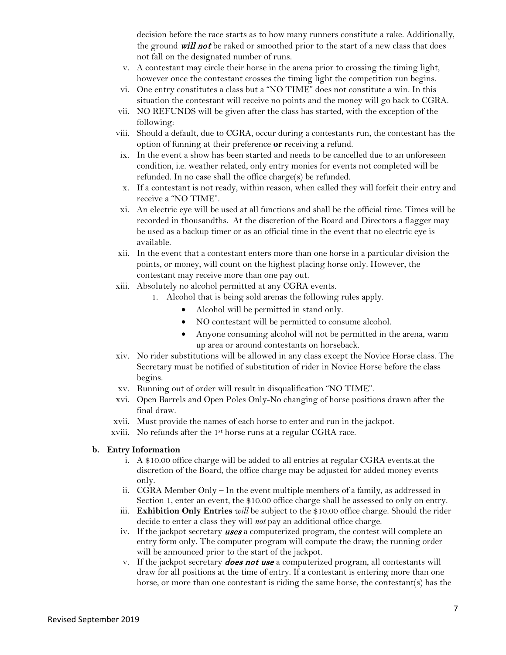decision before the race starts as to how many runners constitute a rake. Additionally, the ground will not be raked or smoothed prior to the start of a new class that does not fall on the designated number of runs.

- v. A contestant may circle their horse in the arena prior to crossing the timing light, however once the contestant crosses the timing light the competition run begins.
- vi. One entry constitutes a class but a "NO TIME" does not constitute a win. In this situation the contestant will receive no points and the money will go back to CGRA.
- vii. NO REFUNDS will be given after the class has started, with the exception of the following:
- viii. Should a default, due to CGRA, occur during a contestants run, the contestant has the option of funning at their preference **or** receiving a refund.
- ix. In the event a show has been started and needs to be cancelled due to an unforeseen condition, i.e. weather related, only entry monies for events not completed will be refunded. In no case shall the office charge(s) be refunded.
- x. If a contestant is not ready, within reason, when called they will forfeit their entry and receive a "NO TIME".
- xi. An electric eye will be used at all functions and shall be the official time. Times will be recorded in thousandths. At the discretion of the Board and Directors a flagger may be used as a backup timer or as an official time in the event that no electric eye is available.
- xii. In the event that a contestant enters more than one horse in a particular division the points, or money, will count on the highest placing horse only. However, the contestant may receive more than one pay out.
- xiii. Absolutely no alcohol permitted at any CGRA events.
	- 1. Alcohol that is being sold arenas the following rules apply.
		- Alcohol will be permitted in stand only.
		- NO contestant will be permitted to consume alcohol.
		- Anyone consuming alcohol will not be permitted in the arena, warm up area or around contestants on horseback.
- xiv. No rider substitutions will be allowed in any class except the Novice Horse class. The Secretary must be notified of substitution of rider in Novice Horse before the class begins.
- xv. Running out of order will result in disqualification "NO TIME".
- xvi. Open Barrels and Open Poles Only-No changing of horse positions drawn after the final draw.
- xvii. Must provide the names of each horse to enter and run in the jackpot.
- xviii. No refunds after the 1st horse runs at a regular CGRA race.

### **b. Entry Information**

- i. A \$10.00 office charge will be added to all entries at regular CGRA events.at the discretion of the Board, the office charge may be adjusted for added money events only.
- ii. CGRA Member Only In the event multiple members of a family, as addressed in Section 1, enter an event, the \$10.00 office charge shall be assessed to only on entry.
- iii. **Exhibition Only Entries** *will* be subject to the \$10.00 office charge. Should the rider decide to enter a class they will *not* pay an additional office charge.
- iv. If the jackpot secretary uses a computerized program, the contest will complete an entry form only. The computer program will compute the draw; the running order will be announced prior to the start of the jackpot.
- v. If the jackpot secretary **does not use** a computerized program, all contestants will draw for all positions at the time of entry. If a contestant is entering more than one horse, or more than one contestant is riding the same horse, the contestant(s) has the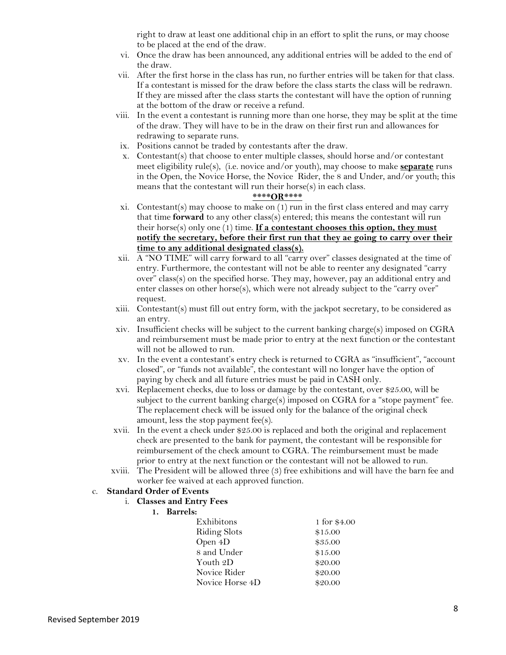right to draw at least one additional chip in an effort to split the runs, or may choose to be placed at the end of the draw.

- vi. Once the draw has been announced, any additional entries will be added to the end of the draw.
- vii. After the first horse in the class has run, no further entries will be taken for that class. If a contestant is missed for the draw before the class starts the class will be redrawn. If they are missed after the class starts the contestant will have the option of running at the bottom of the draw or receive a refund.
- viii. In the event a contestant is running more than one horse, they may be split at the time of the draw. They will have to be in the draw on their first run and allowances for redrawing to separate runs.
- ix. Positions cannot be traded by contestants after the draw.
- x. Contestant(s) that choose to enter multiple classes, should horse and/or contestant meet eligibility rule(s), (i.e. novice and/or youth), may choose to make **separate** runs in the Open, the Novice Horse, the Novice Rider, the 8 and Under, and/or youth; this means that the contestant will run their horse(s) in each class.

#### **\*\*\*\*OR\*\*\*\***

- xi. Contestant(s) may choose to make on  $(1)$  run in the first class entered and may carry that time **forward** to any other class(s) entered; this means the contestant will run their horse(s) only one (1) time. **If a contestant chooses this option, they must notify the secretary, before their first run that they ae going to carry over their time to any additional designated class(s).**
- xii. A "NO TIME" will carry forward to all "carry over" classes designated at the time of entry. Furthermore, the contestant will not be able to reenter any designated "carry over" class(s) on the specified horse. They may, however, pay an additional entry and enter classes on other horse(s), which were not already subject to the "carry over" request.
- xiii. Contestant(s) must fill out entry form, with the jackpot secretary, to be considered as an entry.
- xiv. Insufficient checks will be subject to the current banking charge(s) imposed on CGRA and reimbursement must be made prior to entry at the next function or the contestant will not be allowed to run.
- xv. In the event a contestant's entry check is returned to CGRA as "insufficient", "account closed", or "funds not available", the contestant will no longer have the option of paying by check and all future entries must be paid in CASH only.
- xvi. Replacement checks, due to loss or damage by the contestant, over \$25.00, will be subject to the current banking charge(s) imposed on CGRA for a "stope payment" fee. The replacement check will be issued only for the balance of the original check amount, less the stop payment fee(s).
- xvii. In the event a check under \$25.00 is replaced and both the original and replacement check are presented to the bank for payment, the contestant will be responsible for reimbursement of the check amount to CGRA. The reimbursement must be made prior to entry at the next function or the contestant will not be allowed to run.
- xviii. The President will be allowed three (3) free exhibitions and will have the barn fee and worker fee waived at each approved function.

#### c. **Standard Order of Events**

#### i. **Classes and Entry Fees**

### **1. Barrels:**

| Exhibitons          | 1 for \$4.00 |
|---------------------|--------------|
| <b>Riding Slots</b> | \$15.00      |
| Open 4D             | \$35.00      |
| 8 and Under         | \$15.00      |
| Youth 2D            | \$20.00      |
| Novice Rider        | \$20.00      |
| Novice Horse 4D     | \$20.00      |
|                     |              |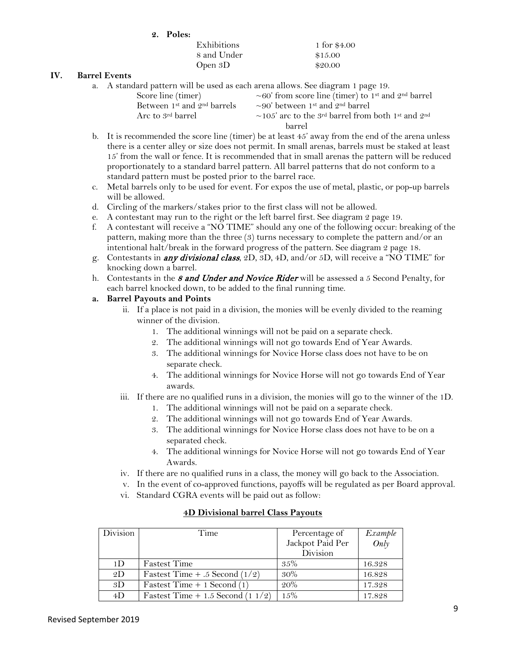| Poles:<br>2. |  |
|--------------|--|
|--------------|--|

| Exhibitions | 1 for \$4.00 |
|-------------|--------------|
| 8 and Under | \$15.00      |
| Open $3D$   | \$20.00      |

### **IV. Barrel Events**

a. A standard pattern will be used as each arena allows. See diagram 1 page 19.

| Score line (timer)                        | ~60' from score line (timer) to 1 <sup>st</sup> and 2 <sup>nd</sup> barrel                  |
|-------------------------------------------|---------------------------------------------------------------------------------------------|
| Between 1 <sup>st</sup> and $2nd$ barrels | $\sim$ 90' between 1 <sup>st</sup> and 2 <sup>nd</sup> barrel                               |
| Arc to 3 <sup>rd</sup> barrel             | $\sim$ 105' arc to the 3 <sup>rd</sup> barrel from both 1 <sup>st</sup> and 2 <sup>nd</sup> |
|                                           | harrel                                                                                      |
|                                           |                                                                                             |

- b. It is recommended the score line (timer) be at least 45' away from the end of the arena unless there is a center alley or size does not permit. In small arenas, barrels must be staked at least 15' from the wall or fence. It is recommended that in small arenas the pattern will be reduced proportionately to a standard barrel pattern. All barrel patterns that do not conform to a standard pattern must be posted prior to the barrel race.
- c. Metal barrels only to be used for event. For expos the use of metal, plastic, or pop-up barrels will be allowed.
- d. Circling of the markers/stakes prior to the first class will not be allowed.
- e. A contestant may run to the right or the left barrel first. See diagram 2 page 19.
- f. A contestant will receive a "NO TIME" should any one of the following occur: breaking of the pattern, making more than the three (3) turns necessary to complete the pattern and/or an intentional halt/break in the forward progress of the pattern. See diagram 2 page 18.
- g. Contestants in any divisional class, 2D, 3D, 4D, and/or 5D, will receive a "NO TIME" for knocking down a barrel.
- h. Contestants in the 8 and Under and Novice Rider will be assessed a 5 Second Penalty, for each barrel knocked down, to be added to the final running time.

### **a. Barrel Payouts and Points**

- ii. If a place is not paid in a division, the monies will be evenly divided to the reaming winner of the division.
	- 1. The additional winnings will not be paid on a separate check.
	- 2. The additional winnings will not go towards End of Year Awards.
	- 3. The additional winnings for Novice Horse class does not have to be on separate check.
	- 4. The additional winnings for Novice Horse will not go towards End of Year awards.
- iii. If there are no qualified runs in a division, the monies will go to the winner of the 1D.
	- 1. The additional winnings will not be paid on a separate check.
	- 2. The additional winnings will not go towards End of Year Awards.
	- 3. The additional winnings for Novice Horse class does not have to be on a separated check.
	- 4. The additional winnings for Novice Horse will not go towards End of Year Awards.
- iv. If there are no qualified runs in a class, the money will go back to the Association.
- v. In the event of co-approved functions, payoffs will be regulated as per Board approval.
- vi. Standard CGRA events will be paid out as follow:

| Division       | Time                                | Percentage of    | Example |
|----------------|-------------------------------------|------------------|---------|
|                |                                     | Jackpot Paid Per | Only    |
|                |                                     | Division         |         |
| 1 <sub>D</sub> | <b>Fastest Time</b>                 | 35%              | 16.328  |
| 2D             | Fastest Time $+ .5$ Second (1/2)    | $30\%$           | 16.828  |
| 3D             | Fastest Time $+ 1$ Second (1)       | 20%              | 17.328  |
| 4D             | Fastest Time $+1.5$ Second $(11/2)$ | 15%              | 17.828  |

### **4D Divisional barrel Class Payouts**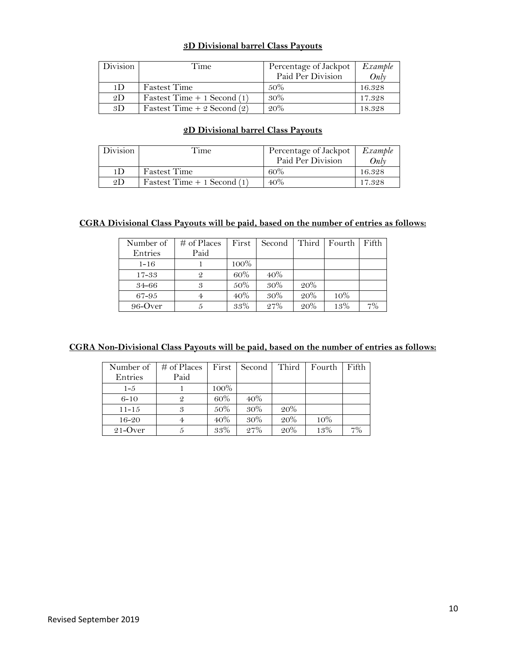### **3D Divisional barrel Class Payouts**

| Division       | Time                         | Percentage of Jackpot<br>Paid Per Division | Example<br>Onlv |
|----------------|------------------------------|--------------------------------------------|-----------------|
| 1 <sub>D</sub> | <b>Fastest Time</b>          | $.50\%$                                    | 16.328          |
| 2D             | Fastest Time $+1$ Second (1) | 30%                                        | 17.328          |
| 3D             | Fastest Time $+2$ Second (2) | 20%                                        | 18.328          |

### **2D Divisional barrel Class Payouts**

| Division | Time                          | Percentage of Jackpot<br>Paid Per Division | Example<br>Onlv |
|----------|-------------------------------|--------------------------------------------|-----------------|
| 1D       | <b>Fastest Time</b>           | $60\%$                                     | 16.328          |
| 2D       | Fastest Time $+ 1$ Second (1) | 40%                                        | 17.328          |

### **CGRA Divisional Class Payouts will be paid, based on the number of entries as follows:**

| Number of | $\#$ of Places | First |     |     | Second Third Fourth | l Fifth |
|-----------|----------------|-------|-----|-----|---------------------|---------|
| Entries   | Paid           |       |     |     |                     |         |
| $1 - 16$  |                | 100%  |     |     |                     |         |
| $17 - 33$ |                | 60%   | 40% |     |                     |         |
| 34-66     | 3              | 50%   | 30% | 20% |                     |         |
| 67-95     |                | 40%   | 30% | 20% | 10%                 |         |
| 96-Over   |                | 33%   | 27% | 20% | 13%                 |         |

### **CGRA Non-Divisional Class Payouts will be paid, based on the number of entries as follows:**

| Number of  | $#$ of Places | First   | Second | Third | Fourth | Fifth |
|------------|---------------|---------|--------|-------|--------|-------|
| Entries    | Paid          |         |        |       |        |       |
| $1 - 5$    |               | $100\%$ |        |       |        |       |
| $6 - 10$   | $\mathcal{Q}$ | 60%     | 40%    |       |        |       |
| $11 - 15$  | 3             | 50%     | 30%    | 20%   |        |       |
| $16 - 20$  | 4             | 40%     | 30%    | 20%   | 10%    |       |
| $21$ -Over |               | 33%     | 27%    | 20%   | 13%    | 7%    |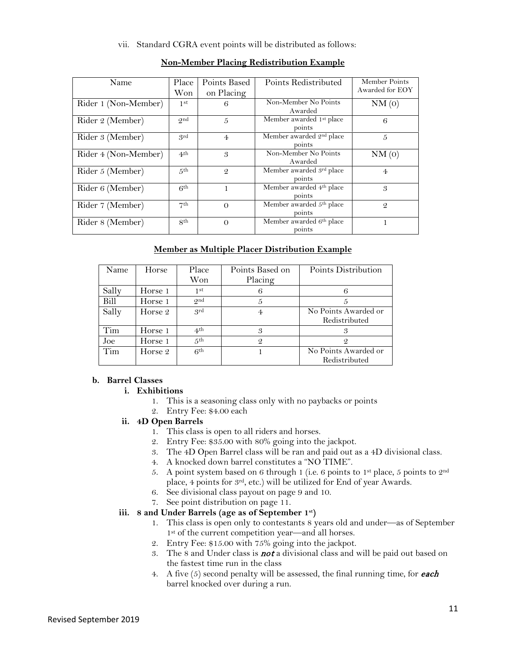### vii. Standard CGRA event points will be distributed as follows:

| Name                 | Place           | Points Based   | Points Redistributed                           | Member Points   |
|----------------------|-----------------|----------------|------------------------------------------------|-----------------|
|                      | Won             | on Placing     |                                                | Awarded for EOY |
| Rider 1 (Non-Member) | 1st             | 6              | Non-Member No Points<br>Awarded                | NM(0)           |
| Rider 2 (Member)     | <b>Ond</b>      | 5              | Member awarded 1st place<br>points             | 6               |
| Rider 3 (Member)     | grd             | $\overline{4}$ | Member awarded 2nd place<br>points             | 5               |
| Rider 4 (Non-Member) | 4 <sup>th</sup> | 3              | Non-Member No Points<br>Awarded                | NM(0)           |
| Rider 5 (Member)     | 5 <sup>th</sup> | $\mathcal{Q}$  | Member awarded 3rd place<br>points             | $\overline{4}$  |
| Rider 6 (Member)     | 6 <sup>th</sup> |                | Member awarded 4 <sup>th</sup> place<br>points | 3               |
| Rider 7 (Member)     | 7 <sup>th</sup> | $\Omega$       | Member awarded 5th place<br>points             | $\mathcal{Q}$   |
| Rider 8 (Member)     | 8 <sup>th</sup> | $\Omega$       | Member awarded 6th place<br>points             |                 |

### **Non-Member Placing Redistribution Example**

### **Member as Multiple Placer Distribution Example**

| Name  | Horse   | Place<br>Won    | Points Based on | Points Distribution                   |
|-------|---------|-----------------|-----------------|---------------------------------------|
|       |         |                 | Placing         |                                       |
| Sally | Horse 1 | 1st             |                 |                                       |
| Bill  | Horse 1 | <b>Ond</b>      |                 |                                       |
| Sally | Horse 2 | <sub>grd</sub>  |                 | No Points Awarded or<br>Redistributed |
| Tim   | Horse 1 | 4 <sup>th</sup> | 3               |                                       |
|       |         |                 |                 | 3                                     |
| Joe   | Horse 1 | 5 <sup>th</sup> | $\mathcal{Q}$   | 2                                     |
| Tim   | Horse 2 | 6th             |                 | No Points Awarded or<br>Redistributed |

### **b. Barrel Classes**

- **i. Exhibitions**
	- 1. This is a seasoning class only with no paybacks or points
	- 2. Entry Fee: \$4.00 each
- **ii. 4D Open Barrels**
	- 1. This class is open to all riders and horses.
	- 2. Entry Fee: \$35.00 with 80% going into the jackpot.
	- 3. The 4D Open Barrel class will be ran and paid out as a 4D divisional class.
	- 4. A knocked down barrel constitutes a "NO TIME".
	- 5. A point system based on 6 through 1 (i.e. 6 points to 1<sup>st</sup> place, 5 points to  $2<sup>nd</sup>$ place, 4 points for 3rd, etc.) will be utilized for End of year Awards.
	- 6. See divisional class payout on page 9 and 10.
	- 7. See point distribution on page 11.

### **iii. 8 and Under Barrels (age as of September 1st)**

- 1. This class is open only to contestants 8 years old and under—as of September 1<sup>st</sup> of the current competition year—and all horses.
- 2. Entry Fee: \$15.00 with 75% going into the jackpot.
- 3. The 8 and Under class is **not** a divisional class and will be paid out based on the fastest time run in the class
- 4. A five  $(5)$  second penalty will be assessed, the final running time, for **each** barrel knocked over during a run.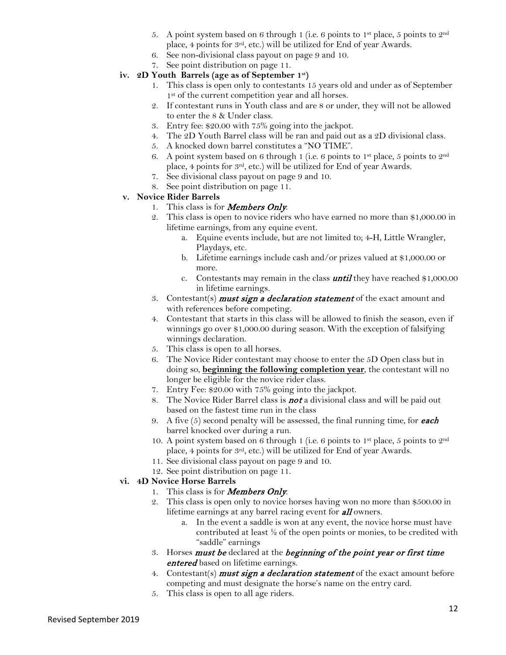- 5. A point system based on 6 through 1 (i.e. 6 points to 1<sup>st</sup> place, 5 points to 2<sup>nd</sup> place, 4 points for 3rd, etc.) will be utilized for End of year Awards.
- 6. See non-divisional class payout on page 9 and 10.
- 7. See point distribution on page 11.

### **iv. 2D Youth Barrels (age as of September 1st )**

- 1. This class is open only to contestants 15 years old and under as of September 1<sup>st</sup> of the current competition year and all horses.
- 2. If contestant runs in Youth class and are 8 or under, they will not be allowed to enter the 8 & Under class.
- 3. Entry fee: \$20.00 with 75% going into the jackpot.
- 4. The 2D Youth Barrel class will be ran and paid out as a 2D divisional class.
- 5. A knocked down barrel constitutes a "NO TIME".
- 6. A point system based on 6 through 1 (i.e. 6 points to 1<sup>st</sup> place, 5 points to  $2<sup>nd</sup>$ place, 4 points for 3rd, etc.) will be utilized for End of year Awards.
- 7. See divisional class payout on page 9 and 10.
- 8. See point distribution on page 11.

### **v. Novice Rider Barrels**

- 1. This class is for **Members Only**.
- 2. This class is open to novice riders who have earned no more than \$1,000.00 in lifetime earnings, from any equine event.
	- a. Equine events include, but are not limited to; 4-H, Little Wrangler, Playdays, etc.
	- b. Lifetime earnings include cash and/or prizes valued at \$1,000.00 or more.
	- c. Contestants may remain in the class **until** they have reached  $$1,000.00$ in lifetime earnings.
- 3. Contestant(s) **must sign a declaration statement** of the exact amount and with references before competing.
- 4. Contestant that starts in this class will be allowed to finish the season, even if winnings go over \$1,000.00 during season. With the exception of falsifying winnings declaration.
- 5. This class is open to all horses.
- 6. The Novice Rider contestant may choose to enter the 5D Open class but in doing so, **beginning the following completion year**, the contestant will no longer be eligible for the novice rider class.
- 7. Entry Fee: \$20.00 with 75% going into the jackpot.
- 8. The Novice Rider Barrel class is **not** a divisional class and will be paid out based on the fastest time run in the class
- 9. A five  $(5)$  second penalty will be assessed, the final running time, for **each** barrel knocked over during a run.
- 10. A point system based on 6 through 1 (i.e. 6 points to 1st place, 5 points to 2nd place, 4 points for 3rd, etc.) will be utilized for End of year Awards.
- 11. See divisional class payout on page 9 and 10.
- 12. See point distribution on page 11.

### **vi. 4D Novice Horse Barrels**

- 1. This class is for **Members Only**.
- 2. This class is open only to novice horses having won no more than \$500.00 in lifetime earnings at any barrel racing event for **all** owners.
	- a. In the event a saddle is won at any event, the novice horse must have contributed at least ½ of the open points or monies, to be credited with "saddle" earnings
- 3. Horses *must be* declared at the *beginning of the point year or first time* entered based on lifetime earnings.
- 4. Contestant(s) **must sign a declaration statement** of the exact amount before competing and must designate the horse's name on the entry card.
- 5. This class is open to all age riders.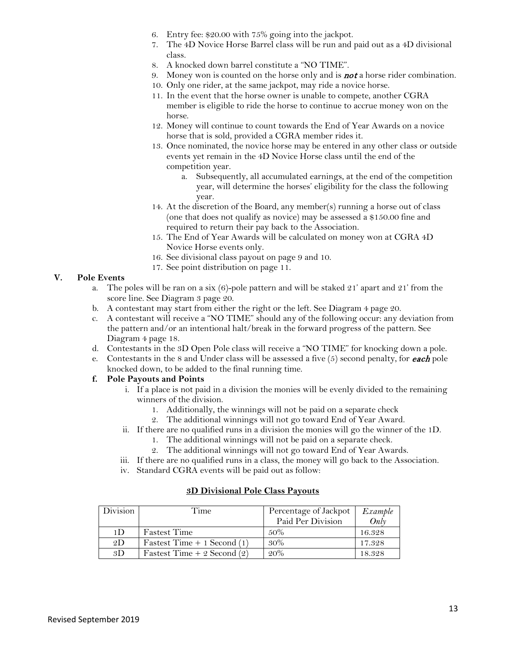- 6. Entry fee: \$20.00 with 75% going into the jackpot.
- 7. The 4D Novice Horse Barrel class will be run and paid out as a 4D divisional class.
- 8. A knocked down barrel constitute a "NO TIME".
- 9. Money won is counted on the horse only and is **not** a horse rider combination.
- 10. Only one rider, at the same jackpot, may ride a novice horse.
- 11. In the event that the horse owner is unable to compete, another CGRA member is eligible to ride the horse to continue to accrue money won on the horse.
- 12. Money will continue to count towards the End of Year Awards on a novice horse that is sold, provided a CGRA member rides it.
- 13. Once nominated, the novice horse may be entered in any other class or outside events yet remain in the 4D Novice Horse class until the end of the competition year.
	- a. Subsequently, all accumulated earnings, at the end of the competition year, will determine the horses' eligibility for the class the following year.
- 14. At the discretion of the Board, any member(s) running a horse out of class (one that does not qualify as novice) may be assessed a \$150.00 fine and required to return their pay back to the Association.
- 15. The End of Year Awards will be calculated on money won at CGRA 4D Novice Horse events only.
- 16. See divisional class payout on page 9 and 10.
- 17. See point distribution on page 11.

### **V. Pole Events**

- a. The poles will be ran on a six  $(6)$ -pole pattern and will be staked 21' apart and 21' from the score line. See Diagram 3 page 20.
- b. A contestant may start from either the right or the left. See Diagram 4 page 20.
- c. A contestant will receive a "NO TIME" should any of the following occur: any deviation from the pattern and/or an intentional halt/break in the forward progress of the pattern. See Diagram 4 page 18.
- d. Contestants in the 3D Open Pole class will receive a "NO TIME" for knocking down a pole.
- e. Contestants in the 8 and Under class will be assessed a five  $(5)$  second penalty, for **each** pole knocked down, to be added to the final running time.

### **f. Pole Payouts and Points**

- i. If a place is not paid in a division the monies will be evenly divided to the remaining winners of the division.
	- 1. Additionally, the winnings will not be paid on a separate check
	- 2. The additional winnings will not go toward End of Year Award.
- ii. If there are no qualified runs in a division the monies will go the winner of the 1D.
	- 1. The additional winnings will not be paid on a separate check.
	- 2. The additional winnings will not go toward End of Year Awards.
- iii. If there are no qualified runs in a class, the money will go back to the Association.
- iv. Standard CGRA events will be paid out as follow:

### **3D Divisional Pole Class Payouts**

| Division       | Time                          | Percentage of Jackpot<br>Paid Per Division | Example<br>Only |
|----------------|-------------------------------|--------------------------------------------|-----------------|
| 1 <sub>D</sub> | <b>Fastest Time</b>           | .50%                                       | 16.328          |
| 2D             | Fastest Time $+1$ Second (1)  | 30%                                        | 17.328          |
| 3D             | Fastest Time $+ 2$ Second (2) | 20%                                        | 18.328          |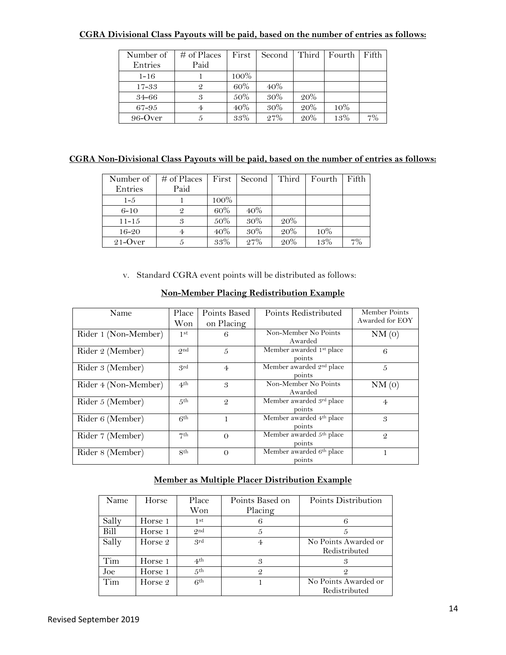### **CGRA Divisional Class Payouts will be paid, based on the number of entries as follows:**

| Number of | $\#$ of Places | First  | Second | Third | Fourth | Fifth |
|-----------|----------------|--------|--------|-------|--------|-------|
| Entries   | Paid           |        |        |       |        |       |
| $1 - 16$  |                | 100%   |        |       |        |       |
| $17 - 33$ |                | 60%    | 40%    |       |        |       |
| $34 - 66$ |                | 50%    | 30%    | 20%   |        |       |
| 67-95     |                | $40\%$ | 30%    | 20%   | 10%    |       |
| 96-Over   |                | 33%    | 27%    | 20%   | 1.3%   | 70/   |

### **CGRA Non-Divisional Class Payouts will be paid, based on the number of entries as follows:**

| Number of  | $\#$ of Places | First   | Second | Third | Fourth | Fifth |
|------------|----------------|---------|--------|-------|--------|-------|
| Entries    | Paid           |         |        |       |        |       |
| $1 - 5$    |                | $100\%$ |        |       |        |       |
| $6 - 10$   | $\mathcal{Q}$  | 60%     | $40\%$ |       |        |       |
| $11 - 15$  | 3              | 50%     | 30%    | 20%   |        |       |
| $16 - 20$  | 4              | 40%     | 30%    | 20%   | 10%    |       |
| $21$ -Over |                | 33%     | 27%    | 20%   | 13%    | 7%    |

v. Standard CGRA event points will be distributed as follows:

| Name                 | Place<br>Won    | Points Based<br>on Placing | Points Redistributed                           | Member Points<br>Awarded for EOY |
|----------------------|-----------------|----------------------------|------------------------------------------------|----------------------------------|
| Rider 1 (Non-Member) | 1 <sup>st</sup> | 6                          | Non-Member No Points<br>Awarded                | NM(0)                            |
| Rider 2 (Member)     | <b>Ond</b>      | 5                          | Member awarded 1st place<br>points             | 6                                |
| Rider 3 (Member)     | grd             | $\overline{4}$             | Member awarded 2 <sup>nd</sup> place<br>points | 5                                |
| Rider 4 (Non-Member) | 4 <sup>th</sup> | 3                          | Non-Member No Points<br>Awarded                | NM(0)                            |
| Rider 5 (Member)     | 5 <sup>th</sup> | $\overline{Q}$             | Member awarded 3rd place<br>points             | $\overline{4}$                   |
| Rider 6 (Member)     | 6 <sup>th</sup> |                            | Member awarded 4 <sup>th</sup> place<br>points | 3                                |
| Rider 7 (Member)     | 7 <sup>th</sup> | $\Omega$                   | Member awarded 5th place<br>points             | $\mathcal{Q}$                    |
| Rider 8 (Member)     | 8 <sup>th</sup> | $\Omega$                   | Member awarded 6th place<br>points             | 1                                |

### **Non-Member Placing Redistribution Example**

### **Member as Multiple Placer Distribution Example**

| Name  | Horse   | Place<br>Won    | Points Based on<br>Placing | Points Distribution  |
|-------|---------|-----------------|----------------------------|----------------------|
| Sally | Horse 1 | 1st             |                            |                      |
| Bill  | Horse 1 | $Q$ nd          | 5                          |                      |
| Sally | Horse 2 | grd             | 4                          | No Points Awarded or |
|       |         |                 |                            | Redistributed        |
| Tim   | Horse 1 | 4 <sup>th</sup> | 3                          | 3                    |
| Joe   | Horse 1 | 5 <sup>th</sup> | $\mathcal{Q}$              | 9                    |
| Tim   | Horse 2 | 6 <sup>th</sup> |                            | No Points Awarded or |
|       |         |                 |                            | Redistributed        |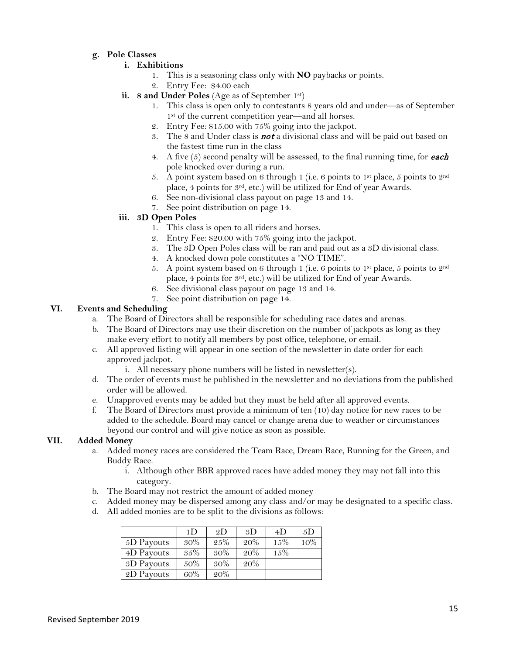### **g. Pole Classes**

### **i. Exhibitions**

- 1. This is a seasoning class only with **NO** paybacks or points.
- 2. Entry Fee: \$4.00 each
- **ii. 8 and Under Poles** (Age as of September 1st)
	- 1. This class is open only to contestants 8 years old and under—as of September 1st of the current competition year—and all horses.
	- 2. Entry Fee: \$15.00 with 75% going into the jackpot.
	- 3. The 8 and Under class is **not** a divisional class and will be paid out based on the fastest time run in the class
	- 4. A five  $(5)$  second penalty will be assessed, to the final running time, for **each** pole knocked over during a run.
	- 5. A point system based on 6 through 1 (i.e. 6 points to 1<sup>st</sup> place, 5 points to  $2<sup>nd</sup>$ place, 4 points for 3rd, etc.) will be utilized for End of year Awards.
	- 6. See non-divisional class payout on page 13 and 14.
	- 7. See point distribution on page 14.

### **iii. 3D Open Poles**

- 1. This class is open to all riders and horses.
- 2. Entry Fee: \$20.00 with 75% going into the jackpot.
- 3. The 3D Open Poles class will be ran and paid out as a 3D divisional class.
- 4. A knocked down pole constitutes a "NO TIME".
- 5. A point system based on 6 through 1 (i.e. 6 points to 1<sup>st</sup> place, 5 points to  $2<sup>nd</sup>$ place, 4 points for 3rd, etc.) will be utilized for End of year Awards.
- 6. See divisional class payout on page 13 and 14.
- 7. See point distribution on page 14.

### **VI. Events and Scheduling**

- a. The Board of Directors shall be responsible for scheduling race dates and arenas.
- b. The Board of Directors may use their discretion on the number of jackpots as long as they make every effort to notify all members by post office, telephone, or email.
- c. All approved listing will appear in one section of the newsletter in date order for each approved jackpot.
	- i. All necessary phone numbers will be listed in newsletter(s).
- d. The order of events must be published in the newsletter and no deviations from the published order will be allowed.
- e. Unapproved events may be added but they must be held after all approved events.
- f. The Board of Directors must provide a minimum of ten (10) day notice for new races to be added to the schedule. Board may cancel or change arena due to weather or circumstances beyond our control and will give notice as soon as possible.

### **VII. Added Money**

- a. Added money races are considered the Team Race, Dream Race, Running for the Green, and Buddy Race.
	- i. Although other BBR approved races have added money they may not fall into this category.
- b. The Board may not restrict the amount of added money
- c. Added money may be dispersed among any class and/or may be designated to a specific class.
- d. All added monies are to be split to the divisions as follows:

|            | 1D  | 2D      | 3D  | 4D      | 5D  |
|------------|-----|---------|-----|---------|-----|
| 5D Payouts | 30% | $2.5\%$ | 20% | 15%     | 10% |
| 4D Payouts | 35% | 30%     | 20% | $1.5\%$ |     |
| 3D Payouts | 50% | 30%     | 20% |         |     |
| 2D Payouts | 60% | 20%     |     |         |     |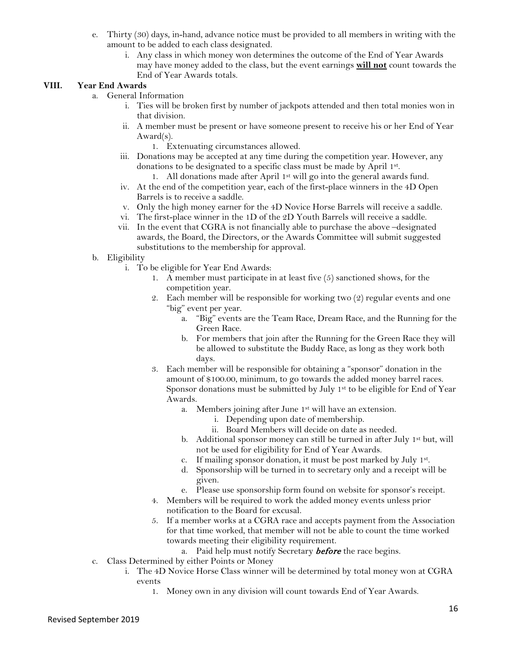- e. Thirty (30) days, in-hand, advance notice must be provided to all members in writing with the amount to be added to each class designated.
	- i. Any class in which money won determines the outcome of the End of Year Awards may have money added to the class, but the event earnings **will not** count towards the End of Year Awards totals.

### **VIII. Year End Awards**

- a. General Information
	- i. Ties will be broken first by number of jackpots attended and then total monies won in that division.
	- ii. A member must be present or have someone present to receive his or her End of Year Award(s).
		- 1. Extenuating circumstances allowed.
	- iii. Donations may be accepted at any time during the competition year. However, any donations to be designated to a specific class must be made by April 1st.
	- 1. All donations made after April  $1<sup>st</sup>$  will go into the general awards fund. iv. At the end of the competition year, each of the first-place winners in the 4D Open Barrels is to receive a saddle.
	- v. Only the high money earner for the 4D Novice Horse Barrels will receive a saddle.
	- vi. The first-place winner in the 1D of the 2D Youth Barrels will receive a saddle.
	- vii. In the event that CGRA is not financially able to purchase the above –designated awards, the Board, the Directors, or the Awards Committee will submit suggested substitutions to the membership for approval.
- b. Eligibility
	- i. To be eligible for Year End Awards:
		- 1. A member must participate in at least five (5) sanctioned shows, for the competition year.
		- 2. Each member will be responsible for working two (2) regular events and one "big" event per year.
			- a. "Big" events are the Team Race, Dream Race, and the Running for the Green Race.
			- b. For members that join after the Running for the Green Race they will be allowed to substitute the Buddy Race, as long as they work both days.
		- 3. Each member will be responsible for obtaining a "sponsor" donation in the amount of \$100.00, minimum, to go towards the added money barrel races. Sponsor donations must be submitted by July 1<sup>st</sup> to be eligible for End of Year Awards.
			- a. Members joining after June 1st will have an extension.
				- i. Depending upon date of membership.
				- ii. Board Members will decide on date as needed.
			- b. Additional sponsor money can still be turned in after July 1<sup>st</sup> but, will not be used for eligibility for End of Year Awards.
			- c. If mailing sponsor donation, it must be post marked by July 1st.
			- d. Sponsorship will be turned in to secretary only and a receipt will be given.
			- e. Please use sponsorship form found on website for sponsor's receipt.
		- 4. Members will be required to work the added money events unless prior notification to the Board for excusal.
		- 5. If a member works at a CGRA race and accepts payment from the Association for that time worked, that member will not be able to count the time worked towards meeting their eligibility requirement.
			- a. Paid help must notify Secretary **before** the race begins.
- c. Class Determined by either Points or Money
	- i. The 4D Novice Horse Class winner will be determined by total money won at CGRA events
		- 1. Money own in any division will count towards End of Year Awards.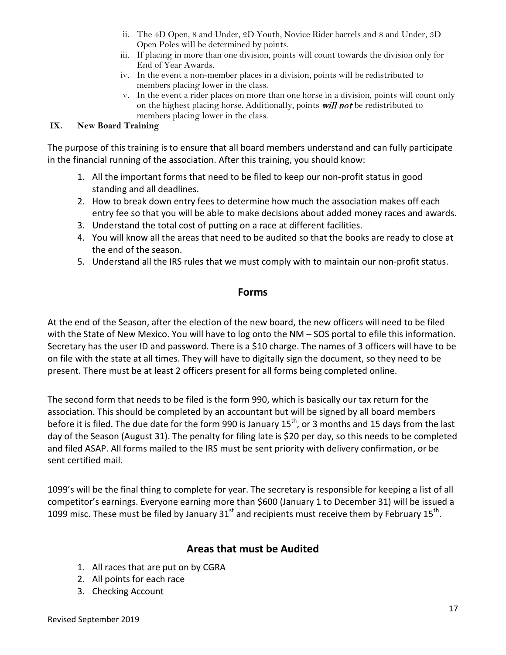- ii. The 4D Open, 8 and Under, 2D Youth, Novice Rider barrels and 8 and Under, 3D Open Poles will be determined by points.
- iii. If placing in more than one division, points will count towards the division only for End of Year Awards.
- iv. In the event a non-member places in a division, points will be redistributed to members placing lower in the class.
- v. In the event a rider places on more than one horse in a division, points will count only on the highest placing horse. Additionally, points *will not* be redistributed to members placing lower in the class.

### **IX. New Board Training**

The purpose of this training is to ensure that all board members understand and can fully participate in the financial running of the association. After this training, you should know:

- 1. All the important forms that need to be filed to keep our non-profit status in good standing and all deadlines.
- 2. How to break down entry fees to determine how much the association makes off each entry fee so that you will be able to make decisions about added money races and awards.
- 3. Understand the total cost of putting on a race at different facilities.
- 4. You will know all the areas that need to be audited so that the books are ready to close at the end of the season.
- 5. Understand all the IRS rules that we must comply with to maintain our non-profit status.

### **Forms**

At the end of the Season, after the election of the new board, the new officers will need to be filed with the State of New Mexico. You will have to log onto the NM – SOS portal to efile this information. Secretary has the user ID and password. There is a \$10 charge. The names of 3 officers will have to be on file with the state at all times. They will have to digitally sign the document, so they need to be present. There must be at least 2 officers present for all forms being completed online.

The second form that needs to be filed is the form 990, which is basically our tax return for the association. This should be completed by an accountant but will be signed by all board members before it is filed. The due date for the form 990 is January  $15<sup>th</sup>$ , or 3 months and 15 days from the last day of the Season (August 31). The penalty for filing late is \$20 per day, so this needs to be completed and filed ASAP. All forms mailed to the IRS must be sent priority with delivery confirmation, or be sent certified mail.

1099's will be the final thing to complete for year. The secretary is responsible for keeping a list of all competitor's earnings. Everyone earning more than \$600 (January 1 to December 31) will be issued a 1099 misc. These must be filed by January 31 $^{\text{st}}$  and recipients must receive them by February 15<sup>th</sup>.

### **Areas that must be Audited**

- 1. All races that are put on by CGRA
- 2. All points for each race
- 3. Checking Account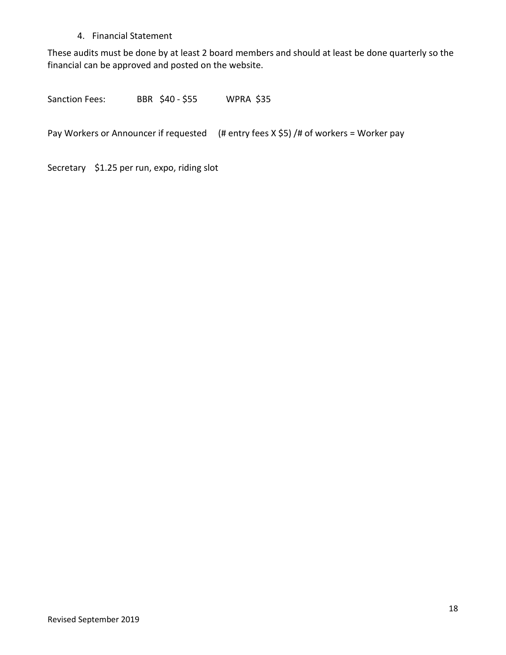### 4. Financial Statement

These audits must be done by at least 2 board members and should at least be done quarterly so the financial can be approved and posted on the website.

Sanction Fees: BBR \$40 - \$55 WPRA \$35

Pay Workers or Announcer if requested (# entry fees X \$5) /# of workers = Worker pay

Secretary \$1.25 per run, expo, riding slot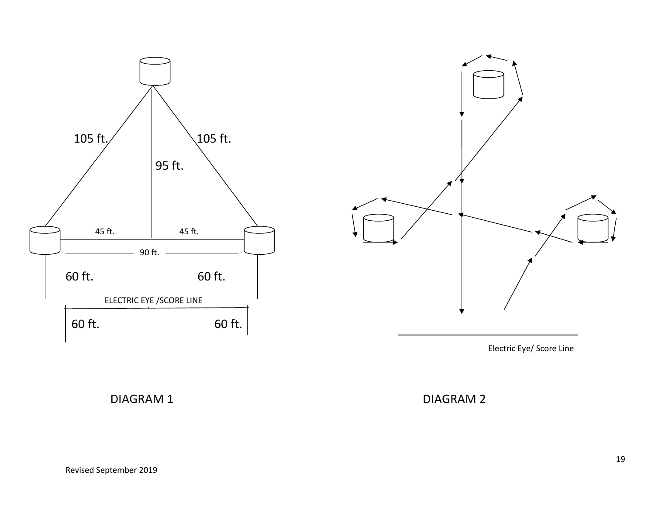



Electric Eye/ Score Line